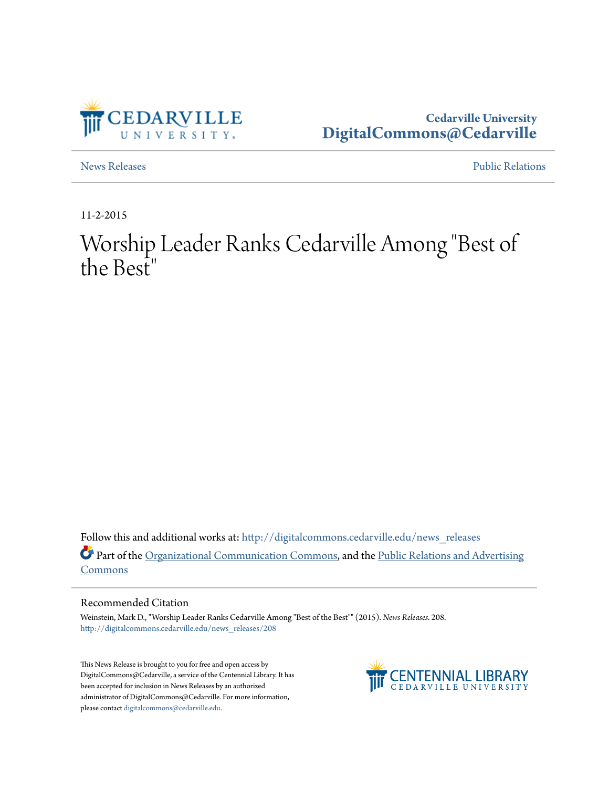

**Cedarville University [DigitalCommons@Cedarville](http://digitalcommons.cedarville.edu?utm_source=digitalcommons.cedarville.edu%2Fnews_releases%2F208&utm_medium=PDF&utm_campaign=PDFCoverPages)**

[News Releases](http://digitalcommons.cedarville.edu/news_releases?utm_source=digitalcommons.cedarville.edu%2Fnews_releases%2F208&utm_medium=PDF&utm_campaign=PDFCoverPages) [Public Relations](http://digitalcommons.cedarville.edu/public_relations?utm_source=digitalcommons.cedarville.edu%2Fnews_releases%2F208&utm_medium=PDF&utm_campaign=PDFCoverPages)

11-2-2015

## Worship Leader Ranks Cedarville Among "Best of the Best"

Follow this and additional works at: [http://digitalcommons.cedarville.edu/news\\_releases](http://digitalcommons.cedarville.edu/news_releases?utm_source=digitalcommons.cedarville.edu%2Fnews_releases%2F208&utm_medium=PDF&utm_campaign=PDFCoverPages) Part of the [Organizational Communication Commons](http://network.bepress.com/hgg/discipline/335?utm_source=digitalcommons.cedarville.edu%2Fnews_releases%2F208&utm_medium=PDF&utm_campaign=PDFCoverPages), and the [Public Relations and Advertising](http://network.bepress.com/hgg/discipline/336?utm_source=digitalcommons.cedarville.edu%2Fnews_releases%2F208&utm_medium=PDF&utm_campaign=PDFCoverPages) [Commons](http://network.bepress.com/hgg/discipline/336?utm_source=digitalcommons.cedarville.edu%2Fnews_releases%2F208&utm_medium=PDF&utm_campaign=PDFCoverPages)

## Recommended Citation

Weinstein, Mark D., "Worship Leader Ranks Cedarville Among "Best of the Best"" (2015). *News Releases*. 208. [http://digitalcommons.cedarville.edu/news\\_releases/208](http://digitalcommons.cedarville.edu/news_releases/208?utm_source=digitalcommons.cedarville.edu%2Fnews_releases%2F208&utm_medium=PDF&utm_campaign=PDFCoverPages)

This News Release is brought to you for free and open access by DigitalCommons@Cedarville, a service of the Centennial Library. It has been accepted for inclusion in News Releases by an authorized administrator of DigitalCommons@Cedarville. For more information, please contact [digitalcommons@cedarville.edu.](mailto:digitalcommons@cedarville.edu)